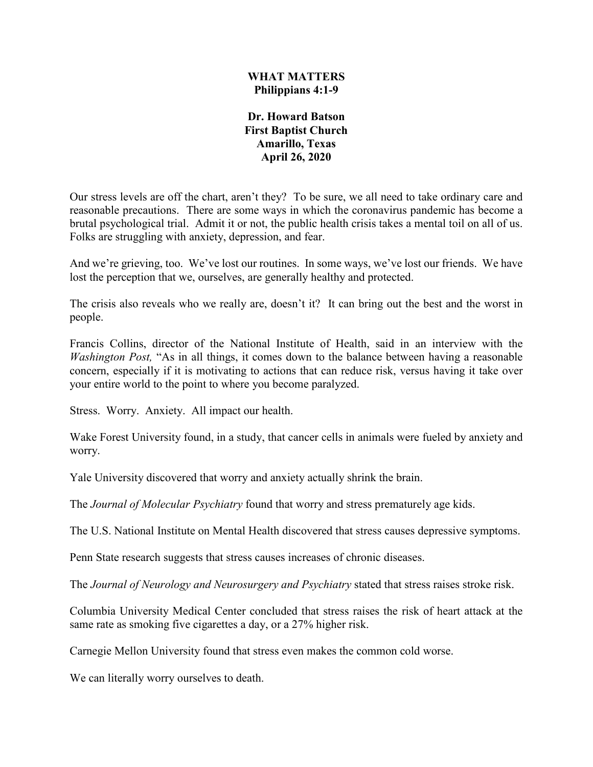#### **WHAT MATTERS Philippians 4:1-9**

**Dr. Howard Batson First Baptist Church Amarillo, Texas April 26, 2020**

Our stress levels are off the chart, aren't they? To be sure, we all need to take ordinary care and reasonable precautions. There are some ways in which the coronavirus pandemic has become a brutal psychological trial. Admit it or not, the public health crisis takes a mental toil on all of us. Folks are struggling with anxiety, depression, and fear.

And we're grieving, too. We've lost our routines. In some ways, we've lost our friends. We have lost the perception that we, ourselves, are generally healthy and protected.

The crisis also reveals who we really are, doesn't it? It can bring out the best and the worst in people.

Francis Collins, director of the National Institute of Health, said in an interview with the *Washington Post,* "As in all things, it comes down to the balance between having a reasonable concern, especially if it is motivating to actions that can reduce risk, versus having it take over your entire world to the point to where you become paralyzed.

Stress. Worry. Anxiety. All impact our health.

Wake Forest University found, in a study, that cancer cells in animals were fueled by anxiety and worry.

Yale University discovered that worry and anxiety actually shrink the brain.

The *Journal of Molecular Psychiatry* found that worry and stress prematurely age kids.

The U.S. National Institute on Mental Health discovered that stress causes depressive symptoms.

Penn State research suggests that stress causes increases of chronic diseases.

The *Journal of Neurology and Neurosurgery and Psychiatry* stated that stress raises stroke risk.

Columbia University Medical Center concluded that stress raises the risk of heart attack at the same rate as smoking five cigarettes a day, or a 27% higher risk.

Carnegie Mellon University found that stress even makes the common cold worse.

We can literally worry ourselves to death.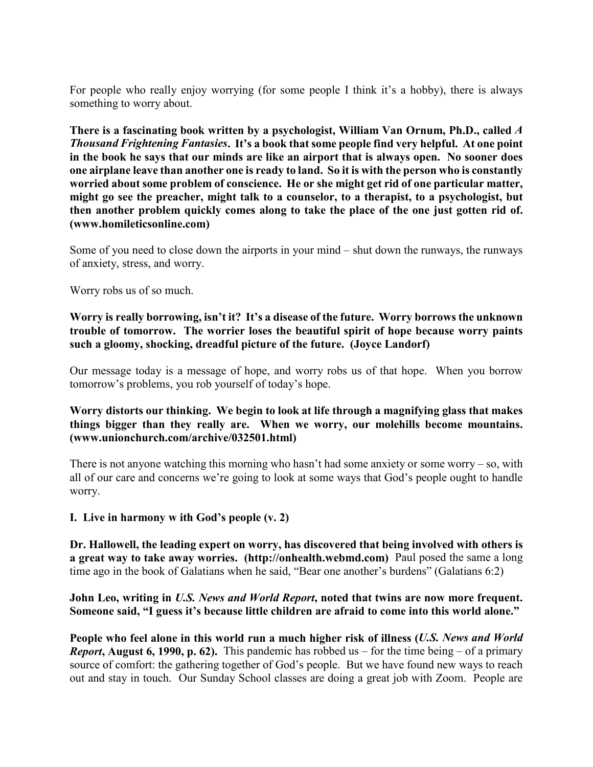For people who really enjoy worrying (for some people I think it's a hobby), there is always something to worry about.

**There is a fascinating book written by a psychologist, William Van Ornum, Ph.D., called** *A Thousand Frightening Fantasies***. It's a book that some people find very helpful. At one point in the book he says that our minds are like an airport that is always open. No sooner does one airplane leave than another one is ready to land. So it is with the person who is constantly worried about some problem of conscience. He or she might get rid of one particular matter, might go see the preacher, might talk to a counselor, to a therapist, to a psychologist, but then another problem quickly comes along to take the place of the one just gotten rid of. (www.homileticsonline.com)**

Some of you need to close down the airports in your mind – shut down the runways, the runways of anxiety, stress, and worry.

Worry robs us of so much.

**Worry is really borrowing, isn't it? It's a disease of the future. Worry borrows the unknown trouble of tomorrow. The worrier loses the beautiful spirit of hope because worry paints such a gloomy, shocking, dreadful picture of the future. (Joyce Landorf)**

Our message today is a message of hope, and worry robs us of that hope. When you borrow tomorrow's problems, you rob yourself of today's hope.

#### **Worry distorts our thinking. We begin to look at life through a magnifying glass that makes things bigger than they really are. When we worry, our molehills become mountains. (www.unionchurch.com/archive/032501.html)**

There is not anyone watching this morning who hasn't had some anxiety or some worry – so, with all of our care and concerns we're going to look at some ways that God's people ought to handle worry.

**I. Live in harmony w ith God's people (v. 2)**

**Dr. Hallowell, the leading expert on worry, has discovered that being involved with others is a great way to take away worries. (http://onhealth.webmd.com)** Paul posed the same a long time ago in the book of Galatians when he said, "Bear one another's burdens" (Galatians 6:2)

#### **John Leo, writing in** *U.S. News and World Report***, noted that twins are now more frequent. Someone said, "I guess it's because little children are afraid to come into this world alone."**

**People who feel alone in this world run a much higher risk of illness (***U.S. News and World Report***, August 6, 1990, p. 62).** This pandemic has robbed us – for the time being – of a primary source of comfort: the gathering together of God's people. But we have found new ways to reach out and stay in touch. Our Sunday School classes are doing a great job with Zoom. People are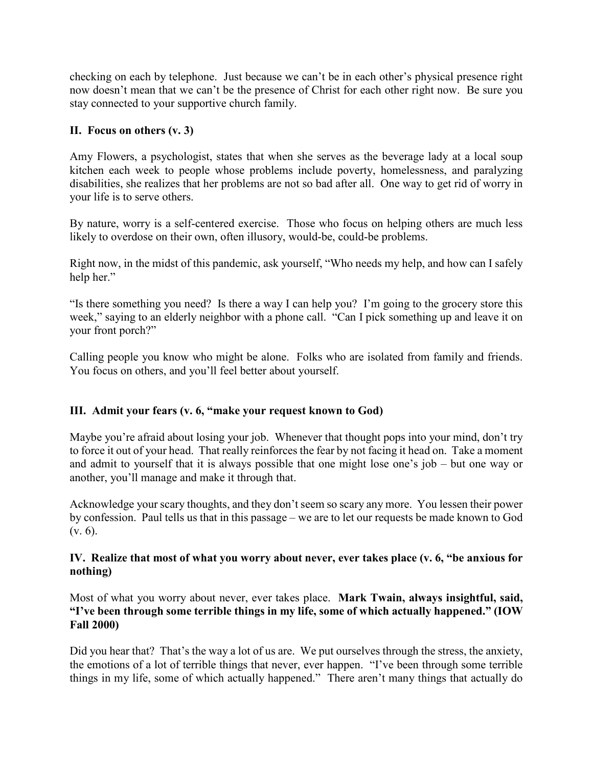checking on each by telephone. Just because we can't be in each other's physical presence right now doesn't mean that we can't be the presence of Christ for each other right now. Be sure you stay connected to your supportive church family.

# **II. Focus on others (v. 3)**

Amy Flowers, a psychologist, states that when she serves as the beverage lady at a local soup kitchen each week to people whose problems include poverty, homelessness, and paralyzing disabilities, she realizes that her problems are not so bad after all. One way to get rid of worry in your life is to serve others.

By nature, worry is a self-centered exercise. Those who focus on helping others are much less likely to overdose on their own, often illusory, would-be, could-be problems.

Right now, in the midst of this pandemic, ask yourself, "Who needs my help, and how can I safely help her."

"Is there something you need? Is there a way I can help you? I'm going to the grocery store this week," saying to an elderly neighbor with a phone call. "Can I pick something up and leave it on your front porch?"

Calling people you know who might be alone. Folks who are isolated from family and friends. You focus on others, and you'll feel better about yourself.

## **III. Admit your fears (v. 6, "make your request known to God)**

Maybe you're afraid about losing your job. Whenever that thought pops into your mind, don't try to force it out of your head. That really reinforces the fear by not facing it head on. Take a moment and admit to yourself that it is always possible that one might lose one's job – but one way or another, you'll manage and make it through that.

Acknowledge your scary thoughts, and they don't seem so scary any more. You lessen their power by confession. Paul tells us that in this passage – we are to let our requests be made known to God (v. 6).

## **IV. Realize that most of what you worry about never, ever takes place (v. 6, "be anxious for nothing)**

Most of what you worry about never, ever takes place. **Mark Twain, always insightful, said, "I've been through some terrible things in my life, some of which actually happened." (IOW Fall 2000)**

Did you hear that? That's the way a lot of us are. We put ourselves through the stress, the anxiety, the emotions of a lot of terrible things that never, ever happen. "I've been through some terrible things in my life, some of which actually happened." There aren't many things that actually do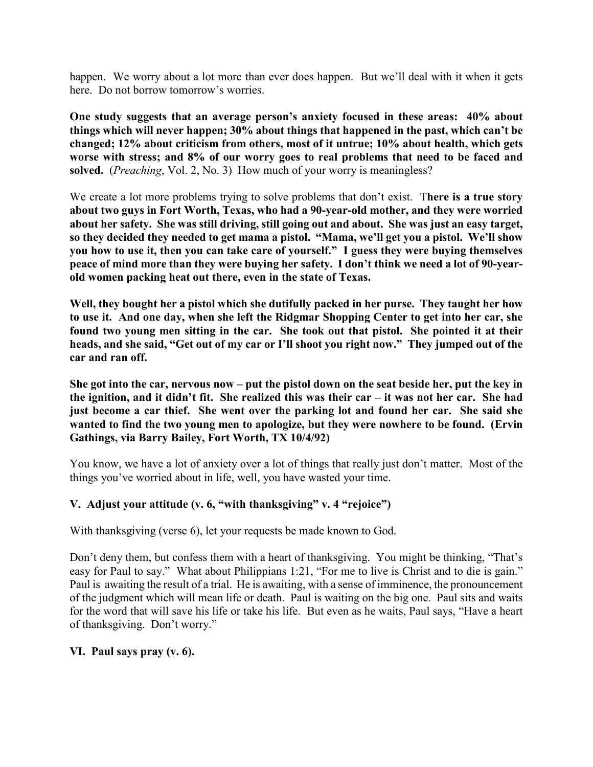happen. We worry about a lot more than ever does happen. But we'll deal with it when it gets here. Do not borrow tomorrow's worries.

**One study suggests that an average person's anxiety focused in these areas: 40% about things which will never happen; 30% about things that happened in the past, which can't be changed; 12% about criticism from others, most of it untrue; 10% about health, which gets worse with stress; and 8% of our worry goes to real problems that need to be faced and solved.** (*Preaching*, Vol. 2, No. 3) How much of your worry is meaningless?

We create a lot more problems trying to solve problems that don't exist. T**here is a true story about two guys in Fort Worth, Texas, who had a 90-year-old mother, and they were worried about her safety. She was still driving, still going out and about. She was just an easy target, so they decided they needed to get mama a pistol. "Mama, we'll get you a pistol. We'll show you how to use it, then you can take care of yourself." I guess they were buying themselves peace of mind more than they were buying her safety. I don't think we need a lot of 90-yearold women packing heat out there, even in the state of Texas.**

**Well, they bought her a pistol which she dutifully packed in her purse. They taught her how to use it. And one day, when she left the Ridgmar Shopping Center to get into her car, she found two young men sitting in the car. She took out that pistol. She pointed it at their heads, and she said, "Get out of my car or I'll shoot you right now." They jumped out of the car and ran off.**

**She got into the car, nervous now – put the pistol down on the seat beside her, put the key in the ignition, and it didn't fit. She realized this was their car – it was not her car. She had just become a car thief. She went over the parking lot and found her car. She said she wanted to find the two young men to apologize, but they were nowhere to be found. (Ervin Gathings, via Barry Bailey, Fort Worth, TX 10/4/92)**

You know, we have a lot of anxiety over a lot of things that really just don't matter. Most of the things you've worried about in life, well, you have wasted your time.

## **V. Adjust your attitude (v. 6, "with thanksgiving" v. 4 "rejoice")**

With thanksgiving (verse 6), let your requests be made known to God.

Don't deny them, but confess them with a heart of thanksgiving. You might be thinking, "That's easy for Paul to say." What about Philippians 1:21, "For me to live is Christ and to die is gain." Paul is awaiting the result of a trial. He is awaiting, with a sense of imminence, the pronouncement of the judgment which will mean life or death. Paul is waiting on the big one. Paul sits and waits for the word that will save his life or take his life. But even as he waits, Paul says, "Have a heart of thanksgiving. Don't worry."

## **VI. Paul says pray (v. 6).**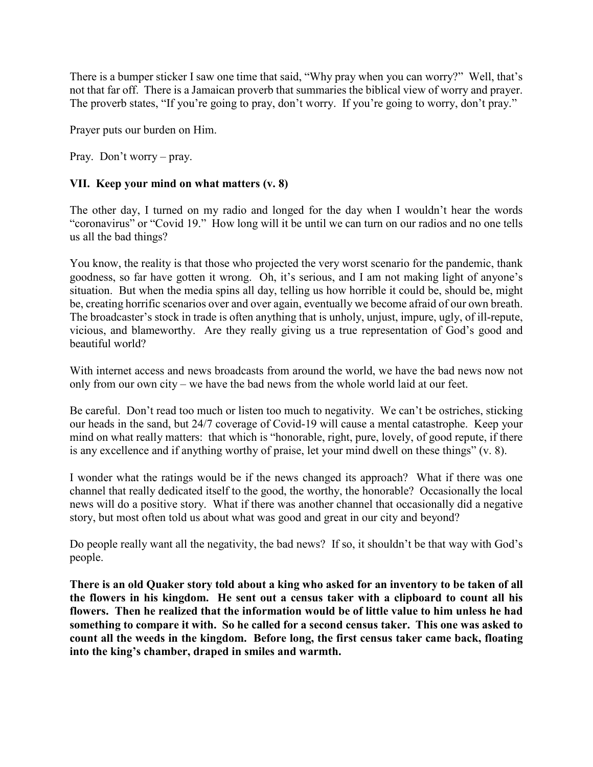There is a bumper sticker I saw one time that said, "Why pray when you can worry?" Well, that's not that far off. There is a Jamaican proverb that summaries the biblical view of worry and prayer. The proverb states, "If you're going to pray, don't worry. If you're going to worry, don't pray."

Prayer puts our burden on Him.

Pray. Don't worry – pray.

## **VII. Keep your mind on what matters (v. 8)**

The other day, I turned on my radio and longed for the day when I wouldn't hear the words "coronavirus" or "Covid 19." How long will it be until we can turn on our radios and no one tells us all the bad things?

You know, the reality is that those who projected the very worst scenario for the pandemic, thank goodness, so far have gotten it wrong. Oh, it's serious, and I am not making light of anyone's situation. But when the media spins all day, telling us how horrible it could be, should be, might be, creating horrific scenarios over and over again, eventually we become afraid of our own breath. The broadcaster's stock in trade is often anything that is unholy, unjust, impure, ugly, of ill-repute, vicious, and blameworthy. Are they really giving us a true representation of God's good and beautiful world?

With internet access and news broadcasts from around the world, we have the bad news now not only from our own city – we have the bad news from the whole world laid at our feet.

Be careful. Don't read too much or listen too much to negativity. We can't be ostriches, sticking our heads in the sand, but 24/7 coverage of Covid-19 will cause a mental catastrophe. Keep your mind on what really matters: that which is "honorable, right, pure, lovely, of good repute, if there is any excellence and if anything worthy of praise, let your mind dwell on these things" (v. 8).

I wonder what the ratings would be if the news changed its approach? What if there was one channel that really dedicated itself to the good, the worthy, the honorable? Occasionally the local news will do a positive story. What if there was another channel that occasionally did a negative story, but most often told us about what was good and great in our city and beyond?

Do people really want all the negativity, the bad news? If so, it shouldn't be that way with God's people.

**There is an old Quaker story told about a king who asked for an inventory to be taken of all the flowers in his kingdom. He sent out a census taker with a clipboard to count all his flowers. Then he realized that the information would be of little value to him unless he had something to compare it with. So he called for a second census taker. This one was asked to count all the weeds in the kingdom. Before long, the first census taker came back, floating into the king's chamber, draped in smiles and warmth.**